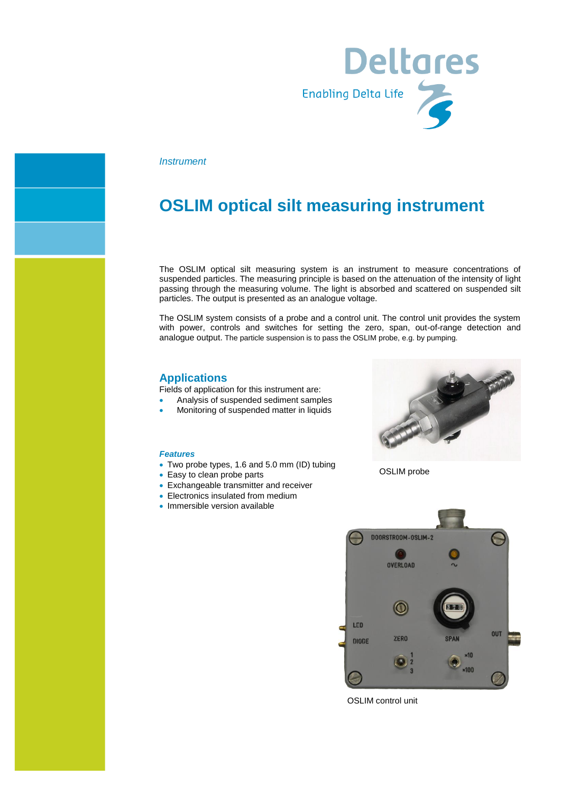

### *Instrument*

## **OSLIM optical silt measuring instrument**

The OSLIM optical silt measuring system is an instrument to measure concentrations of suspended particles. The measuring principle is based on the attenuation of the intensity of light passing through the measuring volume. The light is absorbed and scattered on suspended silt particles. The output is presented as an analogue voltage.

The OSLIM system consists of a probe and a control unit. The control unit provides the system with power, controls and switches for setting the zero, span, out-of-range detection and analogue output. The particle suspension is to pass the OSLIM probe, e.g. by pumping.

### **Applications**

Fields of application for this instrument are:

- Analysis of suspended sediment samples
- Monitoring of suspended matter in liquids

#### *Features*

- Two probe types, 1.6 and 5.0 mm (ID) tubing
- Easy to clean probe parts
- Exchangeable transmitter and receiver
- Electronics insulated from medium
- Immersible version available



OSLIM probe



OSLIM control unit